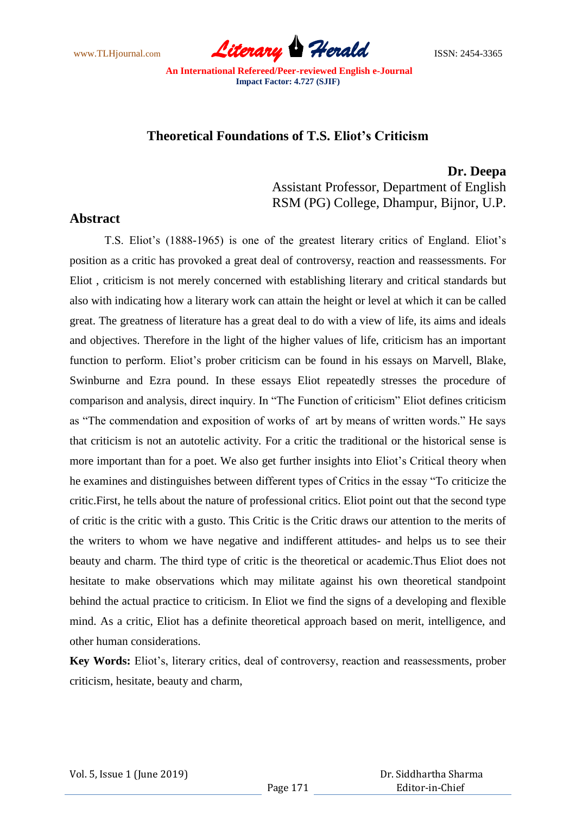www.TLHjournal.com **Literary Herald Herald** ISSN: 2454-3365

# **Theoretical Foundations of T.S. Eliot's Criticism**

**Dr. Deepa** Assistant Professor, Department of English RSM (PG) College, Dhampur, Bijnor, U.P.

### **Abstract**

T.S. Eliot"s (1888-1965) is one of the greatest literary critics of England. Eliot"s position as a critic has provoked a great deal of controversy, reaction and reassessments. For Eliot , criticism is not merely concerned with establishing literary and critical standards but also with indicating how a literary work can attain the height or level at which it can be called great. The greatness of literature has a great deal to do with a view of life, its aims and ideals and objectives. Therefore in the light of the higher values of life, criticism has an important function to perform. Eliot's prober criticism can be found in his essays on Marvell, Blake, Swinburne and Ezra pound. In these essays Eliot repeatedly stresses the procedure of comparison and analysis, direct inquiry. In "The Function of criticism" Eliot defines criticism as "The commendation and exposition of works of art by means of written words." He says that criticism is not an autotelic activity. For a critic the traditional or the historical sense is more important than for a poet. We also get further insights into Eliot"s Critical theory when he examines and distinguishes between different types of Critics in the essay "To criticize the critic.First, he tells about the nature of professional critics. Eliot point out that the second type of critic is the critic with a gusto. This Critic is the Critic draws our attention to the merits of the writers to whom we have negative and indifferent attitudes- and helps us to see their beauty and charm. The third type of critic is the theoretical or academic.Thus Eliot does not hesitate to make observations which may militate against his own theoretical standpoint behind the actual practice to criticism. In Eliot we find the signs of a developing and flexible mind. As a critic, Eliot has a definite theoretical approach based on merit, intelligence, and other human considerations.

Key Words: Eliot's, literary critics, deal of controversy, reaction and reassessments, prober criticism, hesitate, beauty and charm,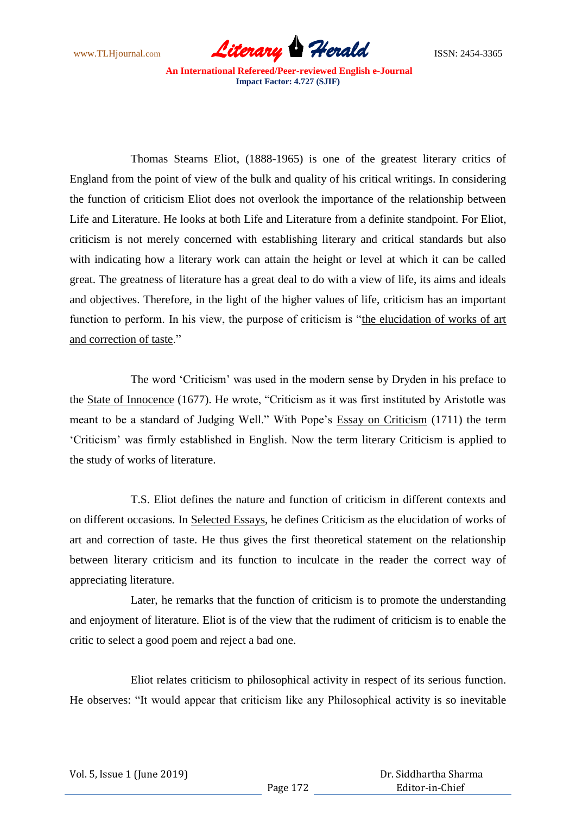www.TLHjournal.com *Literary Herald*ISSN: 2454-3365

Thomas Stearns Eliot, (1888-1965) is one of the greatest literary critics of England from the point of view of the bulk and quality of his critical writings. In considering the function of criticism Eliot does not overlook the importance of the relationship between Life and Literature. He looks at both Life and Literature from a definite standpoint. For Eliot, criticism is not merely concerned with establishing literary and critical standards but also with indicating how a literary work can attain the height or level at which it can be called great. The greatness of literature has a great deal to do with a view of life, its aims and ideals and objectives. Therefore, in the light of the higher values of life, criticism has an important function to perform. In his view, the purpose of criticism is "the elucidation of works of art and correction of taste."

The word "Criticism" was used in the modern sense by Dryden in his preface to the State of Innocence (1677). He wrote, "Criticism as it was first instituted by Aristotle was meant to be a standard of Judging Well." With Pope"s Essay on Criticism (1711) the term "Criticism" was firmly established in English. Now the term literary Criticism is applied to the study of works of literature.

T.S. Eliot defines the nature and function of criticism in different contexts and on different occasions. In Selected Essays, he defines Criticism as the elucidation of works of art and correction of taste. He thus gives the first theoretical statement on the relationship between literary criticism and its function to inculcate in the reader the correct way of appreciating literature.

Later, he remarks that the function of criticism is to promote the understanding and enjoyment of literature. Eliot is of the view that the rudiment of criticism is to enable the critic to select a good poem and reject a bad one.

Eliot relates criticism to philosophical activity in respect of its serious function. He observes: "It would appear that criticism like any Philosophical activity is so inevitable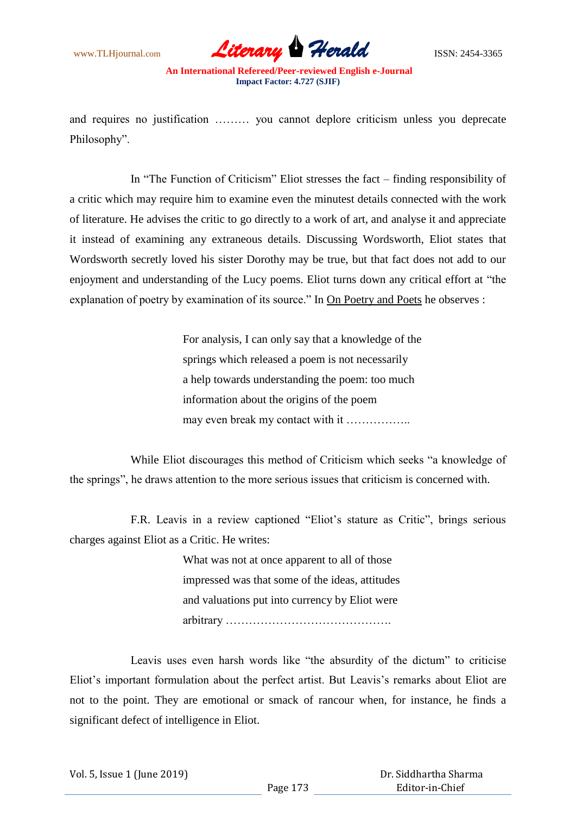www.TLHjournal.com **Literary Herald Herald** ISSN: 2454-3365

and requires no justification ……… you cannot deplore criticism unless you deprecate Philosophy".

In "The Function of Criticism" Eliot stresses the fact – finding responsibility of a critic which may require him to examine even the minutest details connected with the work of literature. He advises the critic to go directly to a work of art, and analyse it and appreciate it instead of examining any extraneous details. Discussing Wordsworth, Eliot states that Wordsworth secretly loved his sister Dorothy may be true, but that fact does not add to our enjoyment and understanding of the Lucy poems. Eliot turns down any critical effort at "the explanation of poetry by examination of its source." In On Poetry and Poets he observes :

> For analysis, I can only say that a knowledge of the springs which released a poem is not necessarily a help towards understanding the poem: too much information about the origins of the poem may even break my contact with it ……………..

While Eliot discourages this method of Criticism which seeks "a knowledge of the springs", he draws attention to the more serious issues that criticism is concerned with.

F.R. Leavis in a review captioned "Eliot"s stature as Critic", brings serious charges against Eliot as a Critic. He writes:

> What was not at once apparent to all of those impressed was that some of the ideas, attitudes and valuations put into currency by Eliot were arbitrary …………………………………….

Leavis uses even harsh words like "the absurdity of the dictum" to criticise Eliot's important formulation about the perfect artist. But Leavis's remarks about Eliot are not to the point. They are emotional or smack of rancour when, for instance, he finds a significant defect of intelligence in Eliot.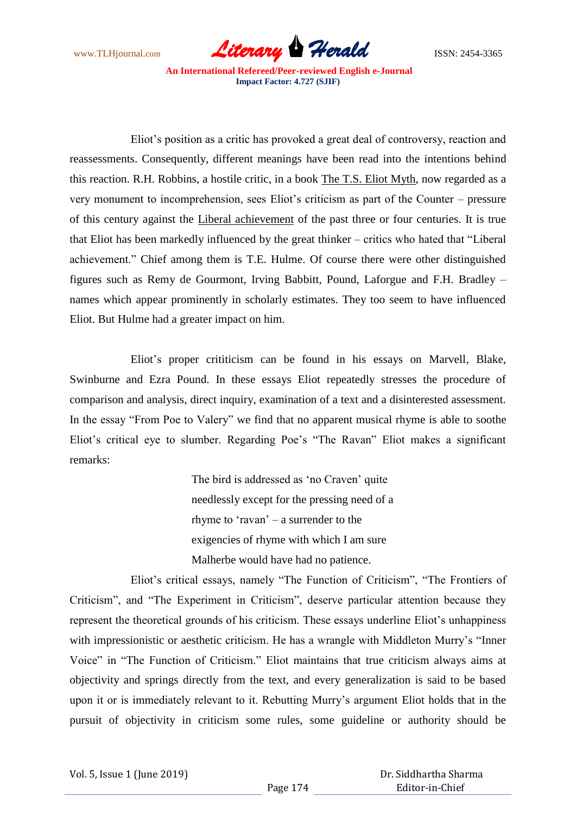

Eliot"s position as a critic has provoked a great deal of controversy, reaction and reassessments. Consequently, different meanings have been read into the intentions behind this reaction. R.H. Robbins, a hostile critic, in a book The T.S. Eliot Myth, now regarded as a very monument to incomprehension, sees Eliot"s criticism as part of the Counter – pressure of this century against the Liberal achievement of the past three or four centuries. It is true that Eliot has been markedly influenced by the great thinker – critics who hated that "Liberal achievement." Chief among them is T.E. Hulme. Of course there were other distinguished figures such as Remy de Gourmont, Irving Babbitt, Pound, Laforgue and F.H. Bradley – names which appear prominently in scholarly estimates. They too seem to have influenced Eliot. But Hulme had a greater impact on him.

Eliot"s proper crititicism can be found in his essays on Marvell, Blake, Swinburne and Ezra Pound. In these essays Eliot repeatedly stresses the procedure of comparison and analysis, direct inquiry, examination of a text and a disinterested assessment. In the essay "From Poe to Valery" we find that no apparent musical rhyme is able to soothe Eliot"s critical eye to slumber. Regarding Poe"s "The Ravan" Eliot makes a significant remarks:

> The bird is addressed as 'no Craven' quite needlessly except for the pressing need of a rhyme to "ravan" – a surrender to the exigencies of rhyme with which I am sure Malherbe would have had no patience.

Eliot"s critical essays, namely "The Function of Criticism", "The Frontiers of Criticism", and "The Experiment in Criticism", deserve particular attention because they represent the theoretical grounds of his criticism. These essays underline Eliot"s unhappiness with impressionistic or aesthetic criticism. He has a wrangle with Middleton Murry's "Inner Voice" in "The Function of Criticism." Eliot maintains that true criticism always aims at objectivity and springs directly from the text, and every generalization is said to be based upon it or is immediately relevant to it. Rebutting Murry"s argument Eliot holds that in the pursuit of objectivity in criticism some rules, some guideline or authority should be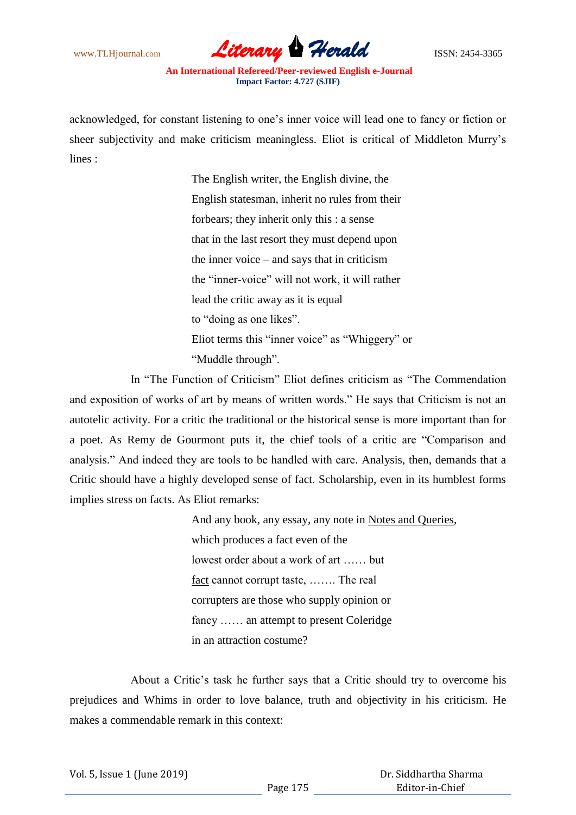www.TLHjournal.com *Literary Herald*ISSN: 2454-3365

acknowledged, for constant listening to one"s inner voice will lead one to fancy or fiction or sheer subjectivity and make criticism meaningless. Eliot is critical of Middleton Murry"s lines :

> The English writer, the English divine, the English statesman, inherit no rules from their forbears; they inherit only this : a sense that in the last resort they must depend upon the inner voice – and says that in criticism the "inner-voice" will not work, it will rather lead the critic away as it is equal to "doing as one likes". Eliot terms this "inner voice" as "Whiggery" or "Muddle through".

In "The Function of Criticism" Eliot defines criticism as "The Commendation and exposition of works of art by means of written words." He says that Criticism is not an autotelic activity. For a critic the traditional or the historical sense is more important than for a poet. As Remy de Gourmont puts it, the chief tools of a critic are "Comparison and analysis." And indeed they are tools to be handled with care. Analysis, then, demands that a Critic should have a highly developed sense of fact. Scholarship, even in its humblest forms implies stress on facts. As Eliot remarks:

> And any book, any essay, any note in Notes and Queries, which produces a fact even of the lowest order about a work of art …… but fact cannot corrupt taste, ……. The real corrupters are those who supply opinion or fancy …… an attempt to present Coleridge in an attraction costume?

About a Critic"s task he further says that a Critic should try to overcome his prejudices and Whims in order to love balance, truth and objectivity in his criticism. He makes a commendable remark in this context: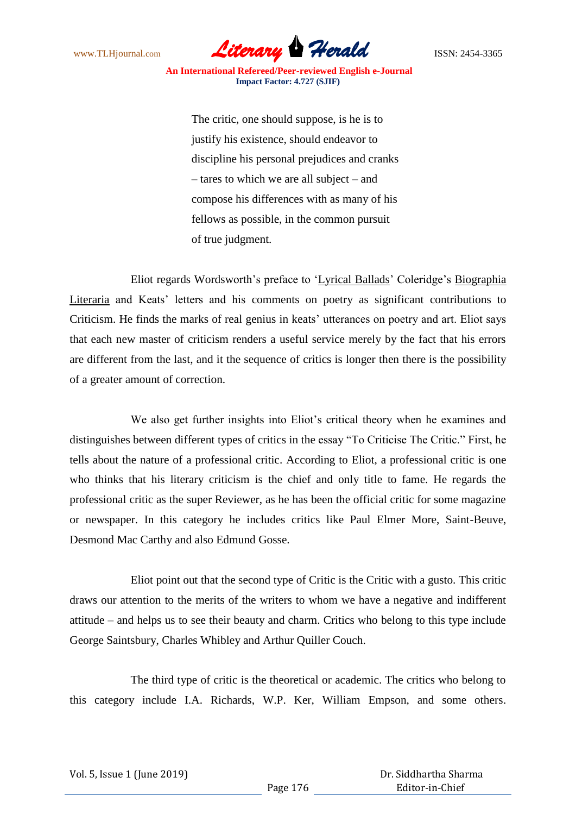

> The critic, one should suppose, is he is to justify his existence, should endeavor to discipline his personal prejudices and cranks – tares to which we are all subject – and compose his differences with as many of his fellows as possible, in the common pursuit of true judgment.

Eliot regards Wordsworth"s preface to "Lyrical Ballads" Coleridge"s Biographia Literaria and Keats' letters and his comments on poetry as significant contributions to Criticism. He finds the marks of real genius in keats' utterances on poetry and art. Eliot says that each new master of criticism renders a useful service merely by the fact that his errors are different from the last, and it the sequence of critics is longer then there is the possibility of a greater amount of correction.

We also get further insights into Eliot's critical theory when he examines and distinguishes between different types of critics in the essay "To Criticise The Critic." First, he tells about the nature of a professional critic. According to Eliot, a professional critic is one who thinks that his literary criticism is the chief and only title to fame. He regards the professional critic as the super Reviewer, as he has been the official critic for some magazine or newspaper. In this category he includes critics like Paul Elmer More, Saint-Beuve, Desmond Mac Carthy and also Edmund Gosse.

Eliot point out that the second type of Critic is the Critic with a gusto. This critic draws our attention to the merits of the writers to whom we have a negative and indifferent attitude – and helps us to see their beauty and charm. Critics who belong to this type include George Saintsbury, Charles Whibley and Arthur Quiller Couch.

The third type of critic is the theoretical or academic. The critics who belong to this category include I.A. Richards, W.P. Ker, William Empson, and some others.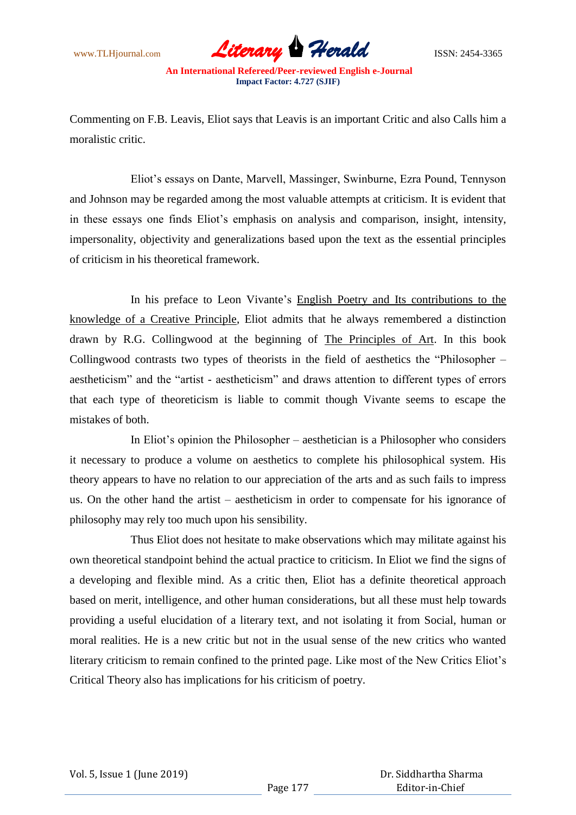www.TLHjournal.com **Literary Herald Herald** ISSN: 2454-3365

Commenting on F.B. Leavis, Eliot says that Leavis is an important Critic and also Calls him a moralistic critic.

Eliot"s essays on Dante, Marvell, Massinger, Swinburne, Ezra Pound, Tennyson and Johnson may be regarded among the most valuable attempts at criticism. It is evident that in these essays one finds Eliot"s emphasis on analysis and comparison, insight, intensity, impersonality, objectivity and generalizations based upon the text as the essential principles of criticism in his theoretical framework.

In his preface to Leon Vivante's English Poetry and Its contributions to the knowledge of a Creative Principle, Eliot admits that he always remembered a distinction drawn by R.G. Collingwood at the beginning of The Principles of Art. In this book Collingwood contrasts two types of theorists in the field of aesthetics the "Philosopher – aestheticism" and the "artist - aestheticism" and draws attention to different types of errors that each type of theoreticism is liable to commit though Vivante seems to escape the mistakes of both.

In Eliot"s opinion the Philosopher – aesthetician is a Philosopher who considers it necessary to produce a volume on aesthetics to complete his philosophical system. His theory appears to have no relation to our appreciation of the arts and as such fails to impress us. On the other hand the artist – aestheticism in order to compensate for his ignorance of philosophy may rely too much upon his sensibility.

Thus Eliot does not hesitate to make observations which may militate against his own theoretical standpoint behind the actual practice to criticism. In Eliot we find the signs of a developing and flexible mind. As a critic then, Eliot has a definite theoretical approach based on merit, intelligence, and other human considerations, but all these must help towards providing a useful elucidation of a literary text, and not isolating it from Social, human or moral realities. He is a new critic but not in the usual sense of the new critics who wanted literary criticism to remain confined to the printed page. Like most of the New Critics Eliot"s Critical Theory also has implications for his criticism of poetry.